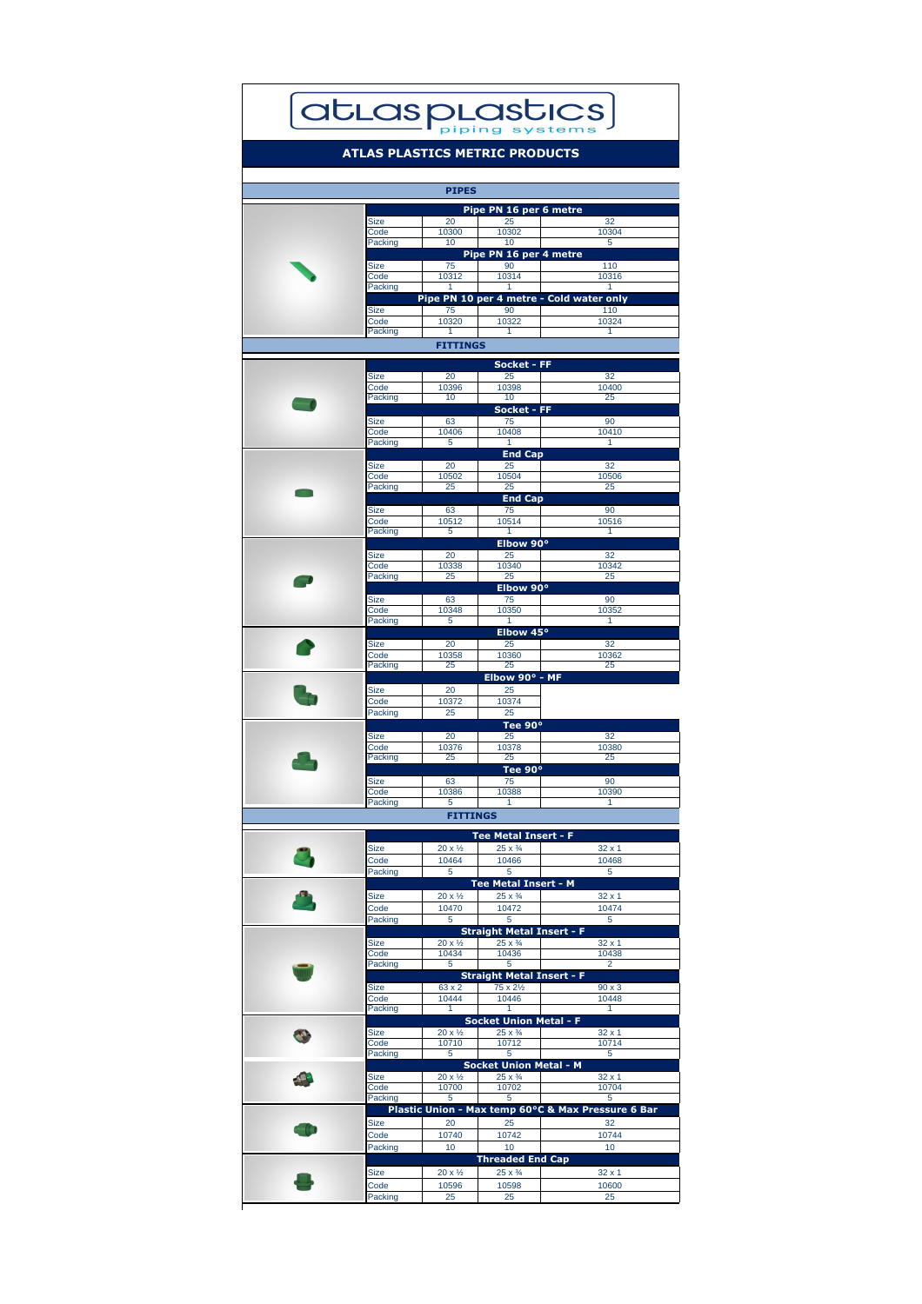|             |       | Pipe PN 16 per 6 metre |                                          |
|-------------|-------|------------------------|------------------------------------------|
| <b>Size</b> | 20    | 25                     | 32                                       |
| Code        | 10300 | 10302                  | 10304                                    |
| Packing     | 10    | 10                     | 5                                        |
|             |       | Pipe PN 16 per 4 metre |                                          |
| <b>Size</b> | 75    | 90                     | 110                                      |
| Code        | 10312 | 10314                  | 10316                                    |
| Packing     |       |                        |                                          |
|             |       |                        | Pipe PN 10 per 4 metre - Cold water only |
| <b>Size</b> | 75    | 90                     | 110                                      |
| Code        | 10320 | 10322                  | 10324                                    |
| Packing     |       |                        |                                          |

## atLasplastics

## **ATLAS PLASTICS METRIC PRODUCTS**

## **PIPES**

|                          |                        |                         | <b>Socket - FF</b>                |                                                    |
|--------------------------|------------------------|-------------------------|-----------------------------------|----------------------------------------------------|
|                          | <b>Size</b><br>Code    | 20                      | 25                                | 32<br>10400                                        |
|                          | Packing                | 10396<br>10             | 10398<br>10                       | 25                                                 |
| $\overline{\phantom{a}}$ |                        |                         | <b>Socket - FF</b>                |                                                    |
|                          | <b>Size</b>            | 63                      | 75                                | 90                                                 |
|                          | Code                   | 10406                   | 10408                             | 10410                                              |
|                          | <b>Packing</b>         | $5\phantom{1}$          |                                   |                                                    |
|                          |                        |                         | <b>End Cap</b>                    |                                                    |
|                          | <b>Size</b>            | 20                      | 25                                | 32                                                 |
|                          | Code<br><b>Packing</b> | 10502<br>25             | 10504<br>25                       | 10506<br>25                                        |
|                          |                        |                         | <b>End Cap</b>                    |                                                    |
|                          | <b>Size</b>            | 63                      | 75                                | 90                                                 |
|                          | Code                   | 10512                   | 10514                             | 10516                                              |
|                          | Packing                | 5                       | 1                                 | 1                                                  |
|                          |                        |                         | Elbow 90°                         |                                                    |
|                          | <b>Size</b>            | 20                      | 25                                | 32                                                 |
|                          | Code                   | 10338                   | 10340                             | 10342                                              |
| $\overline{\phantom{a}}$ | Packing                | 25                      | 25                                | 25                                                 |
|                          |                        |                         | Elbow 90°                         |                                                    |
|                          | <b>Size</b><br>Code    | 63<br>10348             | 75<br>10350                       | 90<br>10352                                        |
|                          | <b>Packing</b>         | 5                       | 1                                 | 1                                                  |
|                          |                        |                         | Elbow 45°                         |                                                    |
|                          | <b>Size</b>            | 20                      | 25                                | 32                                                 |
|                          | Code                   | 10358                   | 10360                             | 10362                                              |
|                          | Packing                | 25                      | 25                                | 25                                                 |
|                          |                        |                         | Elbow 90 $\degree$ - MF           |                                                    |
|                          | <b>Size</b>            | 20                      | 25                                |                                                    |
|                          | Code                   | 10372                   | 10374                             |                                                    |
|                          | Packing                | 25                      | 25                                |                                                    |
|                          |                        |                         | Tee 90°                           |                                                    |
|                          | <b>Size</b><br>Code    | 20<br>10376             | 25<br>10378                       | 32<br>10380                                        |
|                          | Packing                | 25                      | 25                                | 25                                                 |
|                          |                        |                         | Tee 90°                           |                                                    |
|                          | <b>Size</b>            | 63                      | 75                                | 90                                                 |
|                          | Code                   | 10386                   | 10388                             | 10390                                              |
|                          | Packing                | 5                       |                                   |                                                    |
|                          |                        | <b>FITTINGS</b>         |                                   |                                                    |
|                          |                        |                         | <b>Tee Metal Insert - F</b>       |                                                    |
|                          | <b>Size</b>            | $20 x \frac{1}{2}$      | $25 \times \frac{3}{4}$           | $32 \times 1$                                      |
|                          | Code                   | 10464                   | 10466                             | 10468                                              |
|                          | Packing                | $5\overline{)}$         | $5\overline{)}$                   | $5\overline{)}$                                    |
|                          |                        |                         | Tee Metal Insert - M              |                                                    |
|                          | <b>Size</b>            | $20 x \frac{1}{2}$      | $25 \times \frac{3}{4}$           | $32 \times 1$                                      |
|                          | Code                   | 10470                   | 10472                             | 10474                                              |
|                          | Packing                | $5\phantom{.0}$         | 5                                 | 5                                                  |
|                          |                        |                         | <b>Straight Metal Insert - F</b>  |                                                    |
|                          | <b>Size</b>            | $20 \times \frac{1}{2}$ | $25 \times \frac{3}{4}$           | $32 \times 1$                                      |
|                          | Code                   | 10434                   | 10436                             | 10438                                              |
|                          | Packing                | $5\overline{)}$         | $5\phantom{1}$                    | 2                                                  |
|                          |                        |                         | <b>Straight Metal Insert - F</b>  |                                                    |
|                          | <b>Size</b><br>Code    | 63 x 2<br>10444         | $75 \times 2\frac{1}{2}$<br>10446 | $90 \times 3$<br>10448                             |
|                          | Packing                |                         |                                   |                                                    |
|                          |                        |                         | <b>Socket Union Metal - F</b>     |                                                    |
|                          | <b>Size</b>            | $20 \times \frac{1}{2}$ | $25 \times \frac{3}{4}$           | $32 \times 1$                                      |
|                          | Code                   | 10710                   | 10712                             | 10714                                              |
|                          | Packing                | $5\overline{)}$         | 5                                 | 5                                                  |
|                          |                        |                         | <b>Socket Union Metal - M</b>     |                                                    |
|                          | <b>Size</b>            | $20x\frac{1}{2}$        | $25 \times \frac{3}{4}$           | $32 \times 1$                                      |
|                          | Code                   | 10700                   | 10702                             | 10704                                              |
|                          | Packing                | $\overline{5}$          | 5                                 | 5                                                  |
|                          |                        |                         |                                   | Plastic Union - Max temp 60°C & Max Pressure 6 Bar |
|                          | <b>Size</b>            | 20                      | 25                                | 32                                                 |
|                          | Code                   | 10740                   | 10742                             | 10744                                              |
|                          |                        |                         |                                   | 10                                                 |
|                          | Packing                | 10                      | 10                                |                                                    |
|                          |                        |                         | <b>Threaded End Cap</b>           |                                                    |
|                          | <b>Size</b>            | $20 x \frac{1}{2}$      | $25 \times \frac{3}{4}$           | $32 \times 1$                                      |
|                          | Code<br><b>Packing</b> | 10596<br>25             | 10598<br>25                       | 10600<br>25                                        |

## **FITTINGS**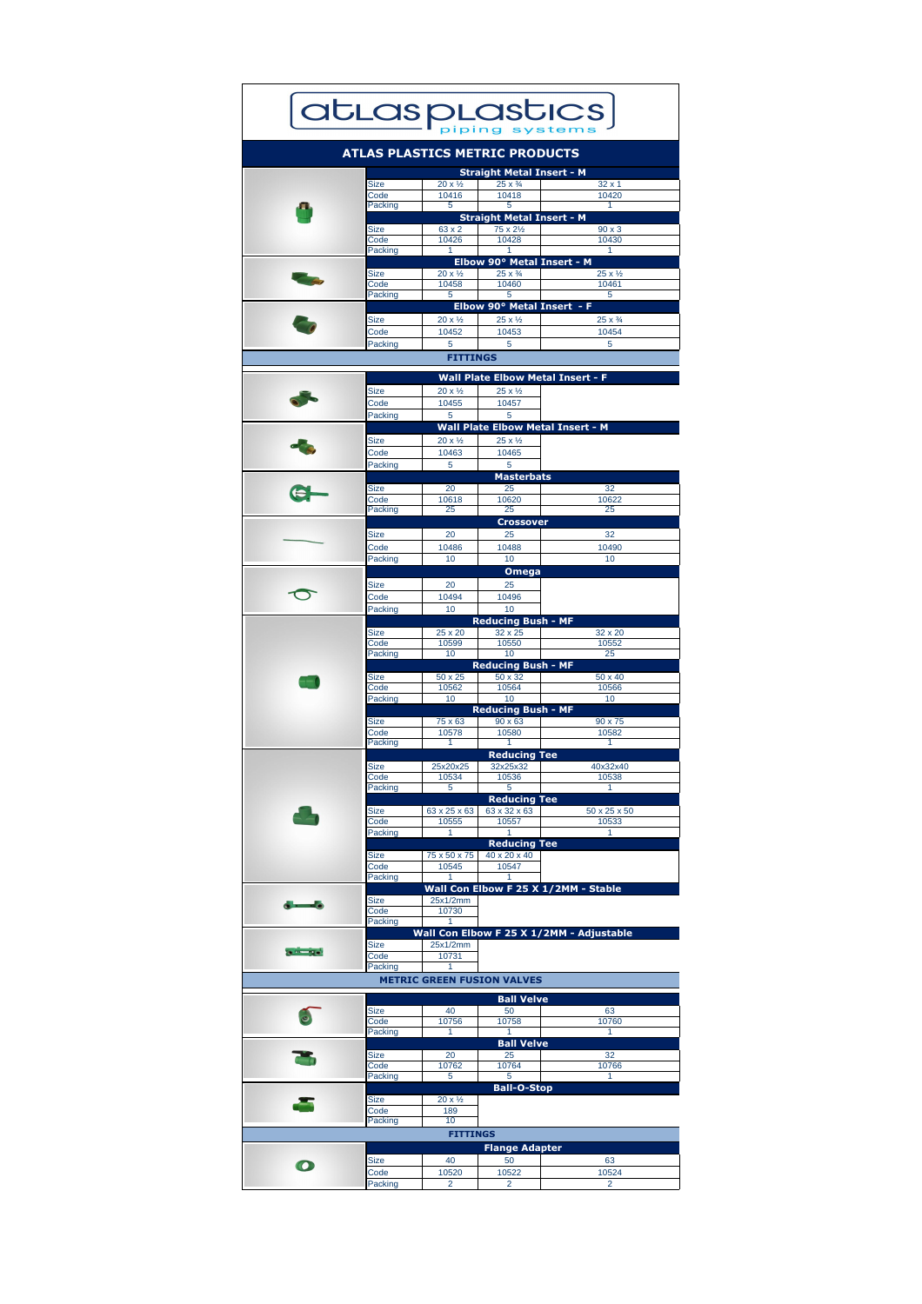|                   |                        |                                  | <b>atLasplastics</b>                                                |                                  |
|-------------------|------------------------|----------------------------------|---------------------------------------------------------------------|----------------------------------|
|                   |                        |                                  | <b>ATLAS PLASTICS METRIC PRODUCTS</b>                               |                                  |
|                   | <b>Size</b>            | $20 \times \frac{1}{2}$          | <b>Straight Metal Insert - M</b><br>$25 \times \frac{3}{4}$         | $32 \times 1$                    |
|                   | Code                   | 10416                            | 10418                                                               | 10420                            |
|                   | Packing                | 5                                | 5<br><b>Straight Metal Insert - M</b>                               |                                  |
|                   | <b>Size</b><br>Code    | 63 x 2<br>10426                  | $75 \times 2\frac{1}{2}$<br>10428                                   | $90 \times 3$<br>10430           |
|                   | Packing                |                                  | Elbow 90° Metal Insert - M                                          |                                  |
|                   | <b>Size</b><br>Code    | $20 \times \frac{1}{2}$<br>10458 | $25 \times \frac{3}{4}$<br>10460                                    | $25 \times \frac{1}{2}$<br>10461 |
|                   | Packing                | $5\phantom{1}$                   | 5<br>Elbow 90° Metal Insert - F                                     | 5                                |
|                   | <b>Size</b>            | $20 \times \frac{1}{2}$          | $25 \times \frac{1}{2}$                                             | $25 \times \frac{3}{4}$          |
|                   | Code<br>Packing        | 10452<br>$5\overline{)}$         | 10453<br>$5\overline{5}$                                            | 10454<br>$5\overline{)}$         |
|                   |                        | <b>FITTINGS</b>                  |                                                                     |                                  |
|                   |                        |                                  | <b>Wall Plate Elbow Metal Insert - F</b>                            |                                  |
|                   | <b>Size</b><br>Code    | $20 \times \frac{1}{2}$<br>10455 | $25 \times \frac{1}{2}$<br>10457                                    |                                  |
|                   | <b>Packing</b>         | 5                                | $5\overline{)}$                                                     |                                  |
|                   | <b>Size</b>            | $20 \times \frac{1}{2}$          | <b>Wall Plate Elbow Metal Insert - M</b><br>$25 \times \frac{1}{2}$ |                                  |
|                   | Code<br>Packing        | 10463<br>5                       | 10465<br>5                                                          |                                  |
|                   |                        |                                  | <b>Masterbats</b>                                                   |                                  |
|                   | <b>Size</b><br>Code    | 20<br>10618                      | 25<br>10620                                                         | 32<br>10622                      |
|                   | Packing                | 25                               | 25<br><b>Crossover</b>                                              | 25                               |
|                   | <b>Size</b>            | 20                               | 25                                                                  | 32                               |
|                   | Code<br>Packing        | 10486<br>10                      | 10488<br>10                                                         | 10490<br>10                      |
|                   |                        |                                  | <b>Omega</b>                                                        |                                  |
|                   | <b>Size</b><br>Code    | 20<br>10494                      | 25<br>10496                                                         |                                  |
|                   | <b>Packing</b>         | 10                               | 10<br><b>Reducing Bush - MF</b>                                     |                                  |
|                   | <b>Size</b>            | 25 x 20                          | $32 \times 25$                                                      | 32 x 20                          |
|                   | Code<br>Packing        | 10599<br>10                      | 10550<br>10                                                         | 10552<br>25                      |
|                   | <b>Size</b>            | 50 x 25                          | <b>Reducing Bush - MF</b><br>50 x 32                                | 50 x 40                          |
|                   | Code<br>Packing        | 10562<br>10                      | 10564<br>10                                                         | 10566<br>10                      |
|                   |                        |                                  | <b>Reducing Bush - MF</b>                                           |                                  |
|                   | <b>Size</b><br>Code    | 75 x 63<br>10578                 | $90 \times 63$<br>10580                                             | 90 x 75<br>10582                 |
|                   | <b>Packing</b>         |                                  | <b>Reducing Tee</b>                                                 |                                  |
|                   | <b>Size</b><br>Code    | 25x20x25<br>10534                | 32x25x32<br>10536                                                   | 40x32x40<br>10538                |
|                   | Packing                | 5                                | $5\phantom{1}$                                                      |                                  |
|                   | <b>Size</b>            | 63 x 25 x 63                     | <b>Reducing Tee</b><br>63 x 32 x 63                                 | 50 x 25 x 50                     |
|                   | Code<br>Packing        | 10555                            | 10557                                                               | 10533                            |
|                   | <b>Size</b>            | 75 x 50 x 75                     | <b>Reducing Tee</b><br>40 x 20 x 40                                 |                                  |
|                   | Code<br>Packing        | 10545                            | 10547                                                               |                                  |
|                   |                        |                                  | Wall Con Elbow F 25 X 1/2MM - Stable                                |                                  |
| $\blacksquare$    | <b>Size</b><br>Code    | 25x1/2mm<br>10730                |                                                                     |                                  |
|                   | Packing                |                                  | Wall Con Elbow F 25 X 1/2MM - Adjustable                            |                                  |
| <b>STATISTICS</b> | <b>Size</b><br>Code    | 25x1/2mm<br>10731                |                                                                     |                                  |
|                   | Packing                |                                  |                                                                     |                                  |
|                   |                        |                                  | <b>METRIC GREEN FUSION VALVES</b>                                   |                                  |
|                   | <b>Size</b>            | 40                               | <b>Ball Velve</b><br>50                                             | 63                               |
|                   | Code<br><b>Packing</b> | 10756                            | 10758                                                               | 10760                            |
|                   | <b>Size</b>            | 20                               | <b>Ball Velve</b><br>25                                             | 32                               |
|                   | Code                   | 10762                            | 10764                                                               | 10766                            |
|                   | <b>Packing</b>         | 5                                | $5\phantom{1}$<br><b>Ball-O-Stop</b>                                |                                  |
|                   | <b>Size</b><br>Code    | $20 \times \frac{1}{2}$<br>189   |                                                                     |                                  |
|                   | Packing                | 10                               |                                                                     |                                  |
|                   |                        | <b>FITTINGS</b>                  | <b>Flange Adapter</b>                                               |                                  |
|                   | <b>Size</b><br>Code    | 40<br>10520                      | 50<br>10522                                                         | 63<br>10524                      |
|                   | Packing                | $\overline{2}$                   | $\overline{2}$                                                      | 2                                |